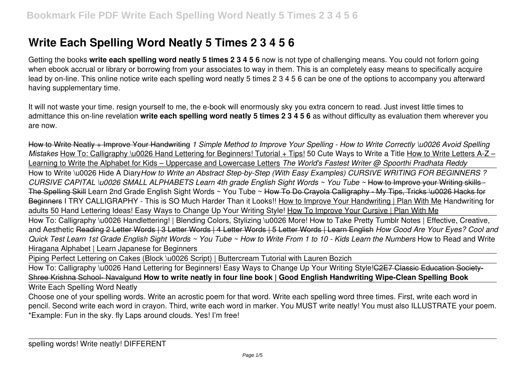## **Write Each Spelling Word Neatly 5 Times 2 3 4 5 6**

Getting the books **write each spelling word neatly 5 times 2 3 4 5 6** now is not type of challenging means. You could not forlorn going when ebook accrual or library or borrowing from your associates to way in them. This is an completely easy means to specifically acquire lead by on-line. This online notice write each spelling word neatly 5 times 2 3 4 5 6 can be one of the options to accompany you afterward having supplementary time.

It will not waste your time. resign yourself to me, the e-book will enormously sky you extra concern to read. Just invest little times to admittance this on-line revelation **write each spelling word neatly 5 times 2 3 4 5 6** as without difficulty as evaluation them wherever you are now.

How to Write Neatly + Improve Your Handwriting *1 Simple Method to Improve Your Spelling - How to Write Correctly \u0026 Avoid Spelling Mistakes* How To: Calligraphy \u0026 Hand Lettering for Beginners! Tutorial + Tips! 50 Cute Ways to Write a Title How to Write Letters A-Z – Learning to Write the Alphabet for Kids – Uppercase and Lowercase Letters *The World's Fastest Writer @ Spoorthi Pradhata Reddy* How to Write \u0026 Hide A Diary*How to Write an Abstract Step-by-Step (With Easy Examples) CURSIVE WRITING FOR BEGINNERS ? CURSIVE CAPITAL \u0026 SMALL ALPHABETS Learn 4th grade English Sight Words ~ You Tube ~* How to Improve your Writing skills - The Spelling Skill Learn 2nd Grade English Sight Words ~ You Tube ~ How To Do Crayola Calligraphy - My Tips, Tricks \u0026 Hacks for Beginners I TRY CALLIGRAPHY - This is SO Much Harder Than it Looks!! How to Improve Your Handwriting | Plan With Me Handwriting for adults 50 Hand Lettering Ideas! Easy Ways to Change Up Your Writing Style! How To Improve Your Cursive | Plan With Me

How To: Calligraphy \u0026 Handlettering! | Blending Colors, Stylizing \u0026 More! How to Take Pretty Tumblr Notes | Effective, Creative, and Aesthetic Reading 2 Letter Words | 3 Letter Words | 4 Letter Words | 5 Letter Words | Learn English *How Good Are Your Eyes? Cool and Quick Test Learn 1st Grade English Sight Words ~ You Tube ~ How to Write From 1 to 10 - Kids Learn the Numbers* How to Read and Write Hiragana Alphabet | Learn Japanese for Beginners

Piping Perfect Lettering on Cakes (Block \u0026 Script) | Buttercream Tutorial with Lauren Bozich

How To: Calligraphy \u0026 Hand Lettering for Beginners! Easy Ways to Change Up Your Writing Style!C2E7 Classic Education Society-Shree Krishna School- Navalgund **How to write neatly in four line book | Good English Handwriting Wipe-Clean Spelling Book**

Write Each Spelling Word Neatly

Choose one of your spelling words. Write an acrostic poem for that word. Write each spelling word three times. First, write each word in pencil. Second write each word in crayon. Third, write each word in marker. You MUST write neatly! You must also ILLUSTRATE your poem. \*Example: Fun in the sky. fly Laps around clouds. Yes! I'm free!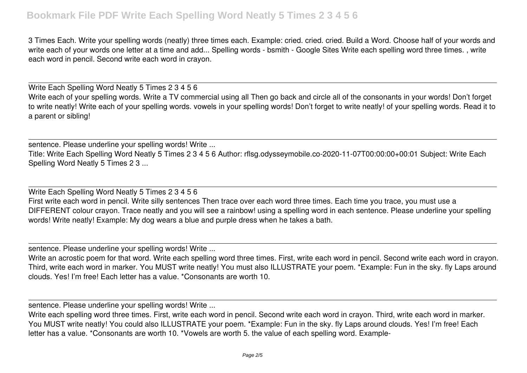## **Bookmark File PDF Write Each Spelling Word Neatly 5 Times 2 3 4 5 6**

3 Times Each. Write your spelling words (neatly) three times each. Example: cried. cried. cried. Build a Word. Choose half of your words and write each of your words one letter at a time and add... Spelling words - bsmith - Google Sites Write each spelling word three times. , write each word in pencil. Second write each word in crayon.

Write Each Spelling Word Neatly 5 Times 2 3 4 5 6 Write each of your spelling words. Write a TV commercial using all Then go back and circle all of the consonants in your words! Don't forget to write neatly! Write each of your spelling words. vowels in your spelling words! Don't forget to write neatly! of your spelling words. Read it to a parent or sibling!

sentence. Please underline your spelling words! Write ...

Title: Write Each Spelling Word Neatly 5 Times 2 3 4 5 6 Author: rflsg.odysseymobile.co-2020-11-07T00:00:00+00:01 Subject: Write Each Spelling Word Neatly 5 Times 2 3 ...

Write Each Spelling Word Neatly 5 Times 2 3 4 5 6

First write each word in pencil. Write silly sentences Then trace over each word three times. Each time you trace, you must use a DIFFERENT colour crayon. Trace neatly and you will see a rainbow! using a spelling word in each sentence. Please underline your spelling words! Write neatly! Example: My dog wears a blue and purple dress when he takes a bath.

sentence. Please underline your spelling words! Write ...

Write an acrostic poem for that word. Write each spelling word three times. First, write each word in pencil. Second write each word in crayon. Third, write each word in marker. You MUST write neatly! You must also ILLUSTRATE your poem. \*Example: Fun in the sky. fly Laps around clouds. Yes! I'm free! Each letter has a value. \*Consonants are worth 10.

sentence. Please underline your spelling words! Write ...

Write each spelling word three times. First, write each word in pencil. Second write each word in crayon. Third, write each word in marker. You MUST write neatly! You could also ILLUSTRATE your poem. \*Example: Fun in the sky. fly Laps around clouds. Yes! I'm free! Each letter has a value. \*Consonants are worth 10. \*Vowels are worth 5. the value of each spelling word. Example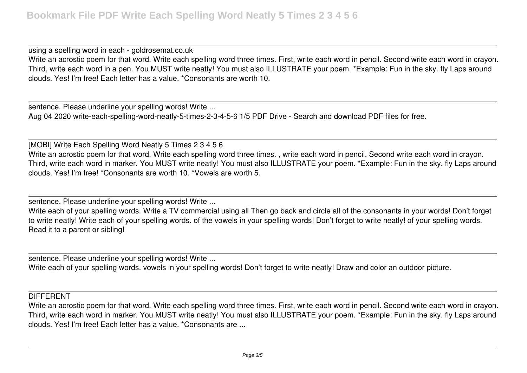using a spelling word in each - goldrosemat.co.uk Write an acrostic poem for that word. Write each spelling word three times. First, write each word in pencil. Second write each word in crayon. Third, write each word in a pen. You MUST write neatly! You must also ILLUSTRATE your poem. \*Example: Fun in the sky. fly Laps around clouds. Yes! I'm free! Each letter has a value. \*Consonants are worth 10.

sentence. Please underline your spelling words! Write ... Aug 04 2020 write-each-spelling-word-neatly-5-times-2-3-4-5-6 1/5 PDF Drive - Search and download PDF files for free.

[MOBI] Write Each Spelling Word Neatly 5 Times 2 3 4 5 6 Write an acrostic poem for that word. Write each spelling word three times. , write each word in pencil. Second write each word in crayon. Third, write each word in marker. You MUST write neatly! You must also ILLUSTRATE your poem. \*Example: Fun in the sky. fly Laps around clouds. Yes! I'm free! \*Consonants are worth 10. \*Vowels are worth 5.

sentence. Please underline your spelling words! Write ...

Write each of your spelling words. Write a TV commercial using all Then go back and circle all of the consonants in your words! Don't forget to write neatly! Write each of your spelling words. of the vowels in your spelling words! Don't forget to write neatly! of your spelling words. Read it to a parent or sibling!

sentence. Please underline your spelling words! Write ...

Write each of your spelling words. vowels in your spelling words! Don't forget to write neatly! Draw and color an outdoor picture.

## **DIFFERENT**

Write an acrostic poem for that word. Write each spelling word three times. First, write each word in pencil. Second write each word in crayon. Third, write each word in marker. You MUST write neatly! You must also ILLUSTRATE your poem. \*Example: Fun in the sky. fly Laps around clouds. Yes! I'm free! Each letter has a value. \*Consonants are ...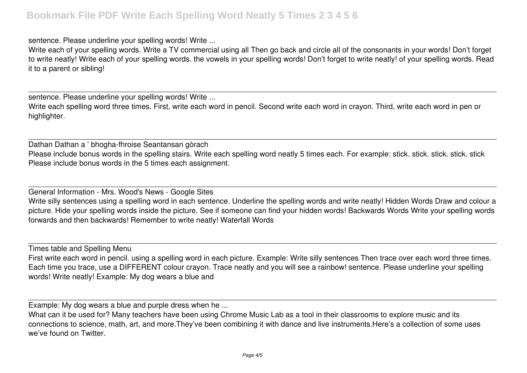sentence. Please underline your spelling words! Write ...

Write each of your spelling words. Write a TV commercial using all Then go back and circle all of the consonants in your words! Don't forget to write neatly! Write each of your spelling words. the vowels in your spelling words! Don't forget to write neatly! of your spelling words. Read it to a parent or sibling!

sentence. Please underline your spelling words! Write ...

Write each spelling word three times. First, write each word in pencil. Second write each word in crayon. Third, write each word in pen or highlighter.

Dathan Dathan a ' bhogha-fhroise Seantansan gòrach Please include bonus words in the spelling stairs. Write each spelling word neatly 5 times each. For example: stick. stick. stick. stick. stick. stick. stick. stick. stick. stick. stick. Please include bonus words in the 5 times each assignment.

General Information - Mrs. Wood's News - Google Sites Write silly sentences using a spelling word in each sentence. Underline the spelling words and write neatly! Hidden Words Draw and colour a picture. Hide your spelling words inside the picture. See if someone can find your hidden words! Backwards Words Write your spelling words forwards and then backwards! Remember to write neatly! Waterfall Words

Times table and Spelling Menu

First write each word in pencil. using a spelling word in each picture. Example: Write silly sentences Then trace over each word three times. Each time you trace, use a DIFFERENT colour crayon. Trace neatly and you will see a rainbow! sentence. Please underline your spelling words! Write neatly! Example: My dog wears a blue and

Example: My dog wears a blue and purple dress when he ...

What can it be used for? Many teachers have been using Chrome Music Lab as a tool in their classrooms to explore music and its connections to science, math, art, and more.They've been combining it with dance and live instruments.Here's a collection of some uses we've found on Twitter.